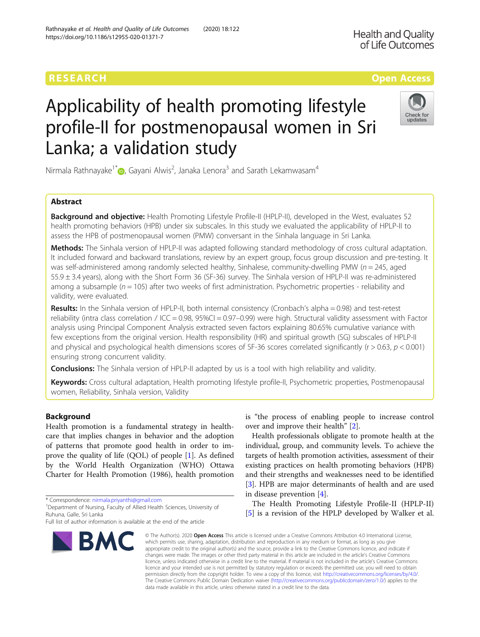## RESEARCH **RESEARCH CONSUMING THE CONSUMING TEACHER CONSUMING THE CONSUMING TEACHER CONSUMING THE CONSUMING TEACHER CONSUMING THE CONSUMING TEACHER CONSUMING THE CONSUMING TEACHER CONSUMING THE CONSUMING TEACHER CONSUMING**

# Applicability of health promoting lifestyle profile-II for postmenopausal women in Sri Lanka; a validation study

Nirmala Rathnayake $1^*$  [,](http://orcid.org/0000-0002-0666-2975) Gayani Alwis<sup>2</sup>, Janaka Lenora $^3$  and Sarath Lekamwasam $^4$ 

## Abstract

Background and objective: Health Promoting Lifestyle Profile-II (HPLP-II), developed in the West, evaluates 52 health promoting behaviors (HPB) under six subscales. In this study we evaluated the applicability of HPLP-II to assess the HPB of postmenopausal women (PMW) conversant in the Sinhala language in Sri Lanka.

Methods: The Sinhala version of HPLP-II was adapted following standard methodology of cross cultural adaptation. It included forward and backward translations, review by an expert group, focus group discussion and pre-testing. It was self-administered among randomly selected healthy, Sinhalese, community-dwelling PMW ( $n = 245$ , aged 55.9 ± 3.4 years), along with the Short Form 36 (SF-36) survey. The Sinhala version of HPLP-II was re-administered among a subsample ( $n = 105$ ) after two weeks of first administration. Psychometric properties - reliability and validity, were evaluated.

Results: In the Sinhala version of HPLP-II, both internal consistency (Cronbach's alpha = 0.98) and test-retest reliability (intra class correlation / ICC = 0.98,  $95\%$ CI = 0.97–0.99) were high. Structural validity assessment with Factor analysis using Principal Component Analysis extracted seven factors explaining 80.65% cumulative variance with few exceptions from the original version. Health responsibility (HR) and spiritual growth (SG) subscales of HPLP-II and physical and psychological health dimensions scores of SF-36 scores correlated significantly ( $r > 0.63$ ,  $p < 0.001$ ) ensuring strong concurrent validity.

**Conclusions:** The Sinhala version of HPLP-II adapted by us is a tool with high reliability and validity.

Keywords: Cross cultural adaptation, Health promoting lifestyle profile-II, Psychometric properties, Postmenopausal women, Reliability, Sinhala version, Validity

## Background

Health promotion is a fundamental strategy in healthcare that implies changes in behavior and the adoption of patterns that promote good health in order to improve the quality of life (QOL) of people [[1\]](#page-5-0). As defined by the World Health Organization (WHO) Ottawa Charter for Health Promotion (1986), health promotion

\* Correspondence: [nirmala.priyanthi@gmail.com](mailto:nirmala.priyanthi@gmail.com) <sup>1</sup>

**BMC** 

<sup>1</sup> Department of Nursing, Faculty of Allied Health Sciences, University of Ruhuna, Galle, Sri Lanka

# is "the process of enabling people to increase control

over and improve their health" [[2\]](#page-5-0). Health professionals obligate to promote health at the individual, group, and community levels. To achieve the targets of health promotion activities, assessment of their existing practices on health promoting behaviors (HPB) and their strengths and weaknesses need to be identified [[3\]](#page-5-0). HPB are major determinants of health and are used in disease prevention [\[4](#page-5-0)].

The Health Promoting Lifestyle Profile-II (HPLP-II) [[5\]](#page-5-0) is a revision of the HPLP developed by Walker et al.

© The Author(s), 2020 **Open Access** This article is licensed under a Creative Commons Attribution 4.0 International License, which permits use, sharing, adaptation, distribution and reproduction in any medium or format, as long as you give appropriate credit to the original author(s) and the source, provide a link to the Creative Commons licence, and indicate if changes were made. The images or other third party material in this article are included in the article's Creative Commons licence, unless indicated otherwise in a credit line to the material. If material is not included in the article's Creative Commons licence and your intended use is not permitted by statutory regulation or exceeds the permitted use, you will need to obtain permission directly from the copyright holder. To view a copy of this licence, visit [http://creativecommons.org/licenses/by/4.0/.](http://creativecommons.org/licenses/by/4.0/) The Creative Commons Public Domain Dedication waiver [\(http://creativecommons.org/publicdomain/zero/1.0/](http://creativecommons.org/publicdomain/zero/1.0/)) applies to the data made available in this article, unless otherwise stated in a credit line to the data.





Full list of author information is available at the end of the article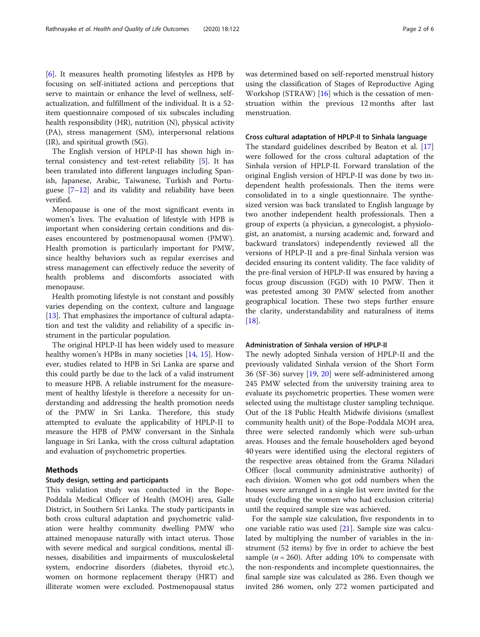[[6\]](#page-5-0). It measures health promoting lifestyles as HPB by focusing on self-initiated actions and perceptions that serve to maintain or enhance the level of wellness, selfactualization, and fulfillment of the individual. It is a 52 item questionnaire composed of six subscales including health responsibility (HR), nutrition (N), physical activity (PA), stress management (SM), interpersonal relations (IR), and spiritual growth (SG).

The English version of HPLP-II has shown high internal consistency and test-retest reliability [[5\]](#page-5-0). It has been translated into different languages including Spanish, Japanese, Arabic, Taiwanese, Turkish and Portuguese  $[7-12]$  $[7-12]$  $[7-12]$  $[7-12]$  and its validity and reliability have been verified.

Menopause is one of the most significant events in women's lives. The evaluation of lifestyle with HPB is important when considering certain conditions and diseases encountered by postmenopausal women (PMW). Health promotion is particularly important for PMW, since healthy behaviors such as regular exercises and stress management can effectively reduce the severity of health problems and discomforts associated with menopause.

Health promoting lifestyle is not constant and possibly varies depending on the context, culture and language [[13\]](#page-5-0). That emphasizes the importance of cultural adaptation and test the validity and reliability of a specific instrument in the particular population.

The original HPLP-II has been widely used to measure healthy women's HPBs in many societies [\[14](#page-5-0), [15\]](#page-5-0). However, studies related to HPB in Sri Lanka are sparse and this could partly be due to the lack of a valid instrument to measure HPB. A reliable instrument for the measurement of healthy lifestyle is therefore a necessity for understanding and addressing the health promotion needs of the PMW in Sri Lanka. Therefore, this study attempted to evaluate the applicability of HPLP-II to measure the HPB of PMW conversant in the Sinhala language in Sri Lanka, with the cross cultural adaptation and evaluation of psychometric properties.

#### Methods

#### Study design, setting and participants

This validation study was conducted in the Bope-Poddala Medical Officer of Health (MOH) area, Galle District, in Southern Sri Lanka. The study participants in both cross cultural adaptation and psychometric validation were healthy community dwelling PMW who attained menopause naturally with intact uterus. Those with severe medical and surgical conditions, mental illnesses, disabilities and impairments of musculoskeletal system, endocrine disorders (diabetes, thyroid etc.), women on hormone replacement therapy (HRT) and illiterate women were excluded. Postmenopausal status was determined based on self-reported menstrual history using the classification of Stages of Reproductive Aging Workshop (STRAW)  $[16]$  $[16]$  $[16]$  which is the cessation of menstruation within the previous 12 months after last menstruation.

#### Cross cultural adaptation of HPLP-II to Sinhala language

The standard guidelines described by Beaton et al. [[17](#page-5-0)] were followed for the cross cultural adaptation of the Sinhala version of HPLP-II. Forward translation of the original English version of HPLP-II was done by two independent health professionals. Then the items were consolidated in to a single questionnaire. The synthesized version was back translated to English language by two another independent health professionals. Then a group of experts (a physician, a gynecologist, a physiologist, an anatomist, a nursing academic and, forward and backward translators) independently reviewed all the versions of HPLP-II and a pre-final Sinhala version was decided ensuring its content validity. The face validity of the pre-final version of HPLP-II was ensured by having a focus group discussion (FGD) with 10 PMW. Then it was pretested among 30 PMW selected from another geographical location. These two steps further ensure the clarity, understandability and naturalness of items [[18\]](#page-5-0).

### Administration of Sinhala version of HPLP-II

The newly adopted Sinhala version of HPLP-II and the previously validated Sinhala version of the Short Form 36 (SF-36) survey [\[19](#page-5-0), [20](#page-5-0)] were self-administered among 245 PMW selected from the university training area to evaluate its psychometric properties. These women were selected using the multistage cluster sampling technique. Out of the 18 Public Health Midwife divisions (smallest community health unit) of the Bope-Poddala MOH area, three were selected randomly which were sub-urban areas. Houses and the female householders aged beyond 40 years were identified using the electoral registers of the respective areas obtained from the Grama Niladari Officer (local community administrative authority) of each division. Women who got odd numbers when the houses were arranged in a single list were invited for the study (excluding the women who had exclusion criteria) until the required sample size was achieved.

For the sample size calculation, five respondents in to one variable ratio was used [[21\]](#page-5-0). Sample size was calculated by multiplying the number of variables in the instrument (52 items) by five in order to achieve the best sample ( $n = 260$ ). After adding 10% to compensate with the non-respondents and incomplete questionnaires, the final sample size was calculated as 286. Even though we invited 286 women, only 272 women participated and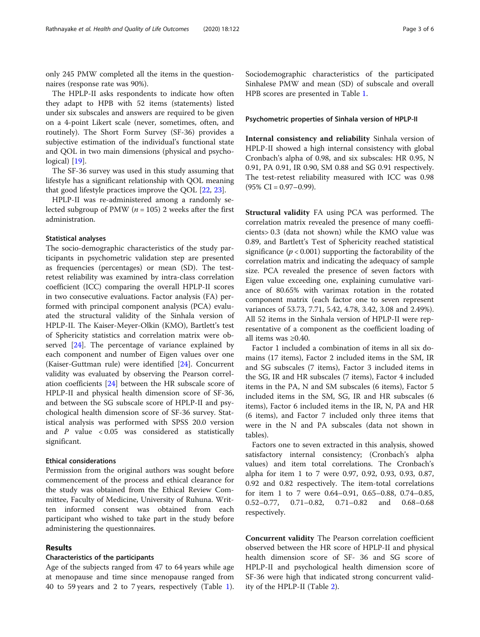only 245 PMW completed all the items in the questionnaires (response rate was 90%).

The HPLP-II asks respondents to indicate how often they adapt to HPB with 52 items (statements) listed under six subscales and answers are required to be given on a 4-point Likert scale (never, sometimes, often, and routinely). The Short Form Survey (SF-36) provides a subjective estimation of the individual's functional state and QOL in two main dimensions (physical and psycho-logical) [\[19](#page-5-0)].

The SF-36 survey was used in this study assuming that lifestyle has a significant relationship with QOL meaning that good lifestyle practices improve the QOL [[22,](#page-5-0) [23](#page-5-0)].

HPLP-II was re-administered among a randomly selected subgroup of PMW ( $n = 105$ ) 2 weeks after the first administration.

#### Statistical analyses

The socio-demographic characteristics of the study participants in psychometric validation step are presented as frequencies (percentages) or mean (SD). The testretest reliability was examined by intra-class correlation coefficient (ICC) comparing the overall HPLP-II scores in two consecutive evaluations. Factor analysis (FA) performed with principal component analysis (PCA) evaluated the structural validity of the Sinhala version of HPLP-II. The Kaiser-Meyer-Olkin (KMO), Bartlett's test of Sphericity statistics and correlation matrix were observed [\[24](#page-5-0)]. The percentage of variance explained by each component and number of Eigen values over one (Kaiser-Guttman rule) were identified [[24](#page-5-0)]. Concurrent validity was evaluated by observing the Pearson correlation coefficients [\[24](#page-5-0)] between the HR subscale score of HPLP-II and physical health dimension score of SF-36, and between the SG subscale score of HPLP-II and psychological health dimension score of SF-36 survey. Statistical analysis was performed with SPSS 20.0 version and  $P$  value < 0.05 was considered as statistically significant.

## Ethical considerations

Permission from the original authors was sought before commencement of the process and ethical clearance for the study was obtained from the Ethical Review Committee, Faculty of Medicine, University of Ruhuna. Written informed consent was obtained from each participant who wished to take part in the study before administering the questionnaires.

## Results

### Characteristics of the participants

Age of the subjects ranged from 47 to 64 years while age at menopause and time since menopause ranged from 40 to 59 years and 2 to 7 years, respectively (Table [1](#page-3-0)). Sociodemographic characteristics of the participated Sinhalese PMW and mean (SD) of subscale and overall HPB scores are presented in Table [1.](#page-3-0)

## Psychometric properties of Sinhala version of HPLP-II

Internal consistency and reliability Sinhala version of HPLP-II showed a high internal consistency with global Cronbach's alpha of 0.98, and six subscales: HR 0.95, N 0.91, PA 0.91, IR 0.90, SM 0.88 and SG 0.91 respectively. The test-retest reliability measured with ICC was 0.98  $(95\% \text{ CI} = 0.97 - 0.99).$ 

Structural validity FA using PCA was performed. The correlation matrix revealed the presence of many coefficients> 0.3 (data not shown) while the KMO value was 0.89, and Bartlett's Test of Sphericity reached statistical significance ( $p < 0.001$ ) supporting the factorability of the correlation matrix and indicating the adequacy of sample size. PCA revealed the presence of seven factors with Eigen value exceeding one, explaining cumulative variance of 80.65% with varimax rotation in the rotated component matrix (each factor one to seven represent variances of 53.73, 7.71, 5.42, 4.78, 3.42, 3.08 and 2.49%). All 52 items in the Sinhala version of HPLP-II were representative of a component as the coefficient loading of all items was ≥0.40.

Factor 1 included a combination of items in all six domains (17 items), Factor 2 included items in the SM, IR and SG subscales (7 items), Factor 3 included items in the SG, IR and HR subscales (7 items), Factor 4 included items in the PA, N and SM subscales (6 items), Factor 5 included items in the SM, SG, IR and HR subscales (6 items), Factor 6 included items in the IR, N, PA and HR (6 items), and Factor 7 included only three items that were in the N and PA subscales (data not shown in tables).

Factors one to seven extracted in this analysis, showed satisfactory internal consistency; (Cronbach's alpha values) and item total correlations. The Cronbach's alpha for item 1 to 7 were 0.97, 0.92, 0.93, 0.93, 0.87, 0.92 and 0.82 respectively. The item-total correlations for item 1 to 7 were 0.64–0.91, 0.65–0.88, 0.74–0.85, 0.52–0.77, 0.71–0.82, 0.71–0.82 and 0.68–0.68 respectively.

Concurrent validity The Pearson correlation coefficient observed between the HR score of HPLP-II and physical health dimension score of SF- 36 and SG score of HPLP-II and psychological health dimension score of SF-36 were high that indicated strong concurrent validity of the HPLP-II (Table [2\)](#page-3-0).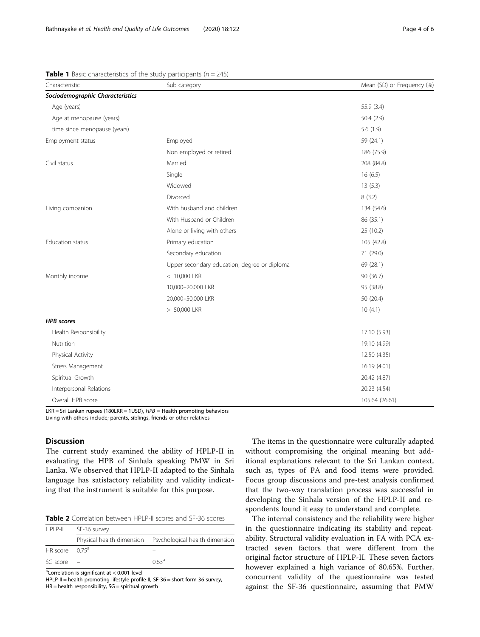| Characteristic                   | Sub category                                 | Mean (SD) or Frequency (%) |
|----------------------------------|----------------------------------------------|----------------------------|
| Sociodemographic Characteristics |                                              |                            |
| Age (years)                      |                                              | 55.9 (3.4)                 |
| Age at menopause (years)         |                                              | 50.4(2.9)                  |
| time since menopause (years)     |                                              | 5.6(1.9)                   |
| Employment status                | Employed                                     | 59 (24.1)                  |
|                                  | Non employed or retired                      | 186 (75.9)                 |
| Civil status                     | Married                                      | 208 (84.8)                 |
|                                  | Single                                       | 16(6.5)                    |
|                                  | Widowed                                      | 13(5.3)                    |
|                                  | Divorced                                     | 8(3.2)                     |
| Living companion                 | With husband and children                    | 134 (54.6)                 |
|                                  | With Husband or Children                     | 86 (35.1)                  |
|                                  | Alone or living with others                  | 25 (10.2)                  |
| Education status                 | Primary education                            | 105 (42.8)                 |
|                                  | Secondary education                          | 71 (29.0)                  |
|                                  | Upper secondary education, degree or diploma | 69 (28.1)                  |
| Monthly income                   | < 10,000 LKR                                 | 90 (36.7)                  |
|                                  | 10,000-20,000 LKR                            | 95 (38.8)                  |
|                                  | 20,000-50,000 LKR                            | 50 (20.4)                  |
|                                  | > 50,000 LKR                                 | 10(4.1)                    |
| <b>HPB</b> scores                |                                              |                            |
| Health Responsibility            |                                              | 17.10 (5.93)               |
| Nutrition                        |                                              | 19.10 (4.99)               |
| Physical Activity                |                                              | 12.50 (4.35)               |
| Stress Management                |                                              | 16.19 (4.01)               |
| Spiritual Growth                 |                                              | 20.42 (4.87)               |
| Interpersonal Relations          |                                              | 20.23 (4.54)               |
| Overall HPB score                |                                              | 105.64 (26.61)             |

<span id="page-3-0"></span>**Table 1** Basic characteristics of the study participants ( $n = 245$ )

LKR = Sri Lankan rupees (180LKR = 1USD), HPB = Health promoting behaviors Living with others include; parents, siblings, friends or other relatives

## **Discussion**

The current study examined the ability of HPLP-II in evaluating the HPB of Sinhala speaking PMW in Sri Lanka. We observed that HPLP-II adapted to the Sinhala language has satisfactory reliability and validity indicating that the instrument is suitable for this purpose.

|  | <b>Table 2</b> Correlation between HPLP-II scores and SF-36 scores |
|--|--------------------------------------------------------------------|
|--|--------------------------------------------------------------------|

| HPI P-II          | SF-36 survey |                                                          |  |
|-------------------|--------------|----------------------------------------------------------|--|
|                   |              | Physical health dimension Psychological health dimension |  |
| HR score $0.75^a$ |              |                                                          |  |
| $SG score -$      |              | 063 <sup>a</sup>                                         |  |

<sup>a</sup>Correlation is significant at < 0.001 level

HPLP-II = health promoting lifestyle profile-II, SF-36 = short form 36 survey,  $HR = health$  responsibility,  $SG =$  spiritual growth

The items in the questionnaire were culturally adapted without compromising the original meaning but additional explanations relevant to the Sri Lankan context, such as, types of PA and food items were provided. Focus group discussions and pre-test analysis confirmed that the two-way translation process was successful in developing the Sinhala version of the HPLP-II and respondents found it easy to understand and complete.

The internal consistency and the reliability were higher in the questionnaire indicating its stability and repeatability. Structural validity evaluation in FA with PCA extracted seven factors that were different from the original factor structure of HPLP-II. These seven factors however explained a high variance of 80.65%. Further, concurrent validity of the questionnaire was tested against the SF-36 questionnaire, assuming that PMW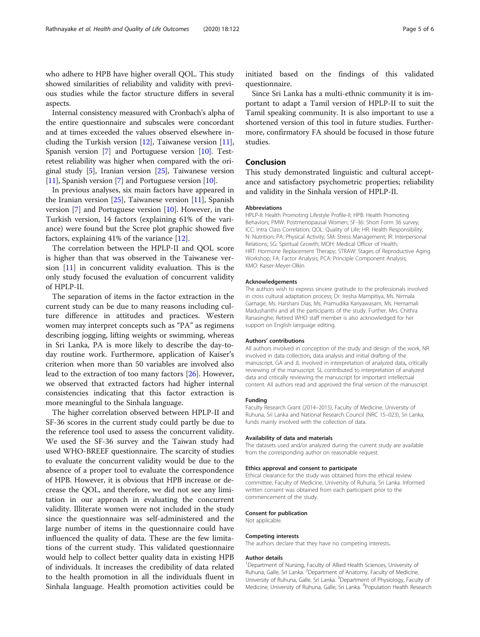who adhere to HPB have higher overall QOL. This study showed similarities of reliability and validity with previous studies while the factor structure differs in several aspects.

Internal consistency measured with Cronbach's alpha of the entire questionnaire and subscales were concordant and at times exceeded the values observed elsewhere including the Turkish version  $[12]$  $[12]$ , Taiwanese version  $[11]$  $[11]$  $[11]$ , Spanish version [[7\]](#page-5-0) and Portuguese version [[10](#page-5-0)]. Testretest reliability was higher when compared with the original study [\[5\]](#page-5-0), Iranian version [\[25\]](#page-5-0), Taiwanese version [[11](#page-5-0)], Spanish version [\[7](#page-5-0)] and Portuguese version [\[10\]](#page-5-0).

In previous analyses, six main factors have appeared in the Iranian version  $[25]$  $[25]$ , Taiwanese version  $[11]$  $[11]$  $[11]$ , Spanish version [[7](#page-5-0)] and Portuguese version [\[10](#page-5-0)]. However, in the Turkish version, 14 factors (explaining 61% of the variance) were found but the Scree plot graphic showed five factors, explaining 41% of the variance [\[12](#page-5-0)].

The correlation between the HPLP-II and QOL score is higher than that was observed in the Taiwanese version [\[11](#page-5-0)] in concurrent validity evaluation. This is the only study focused the evaluation of concurrent validity of HPLP-II.

The separation of items in the factor extraction in the current study can be due to many reasons including culture difference in attitudes and practices. Western women may interpret concepts such as "PA" as regimens describing jogging, lifting weights or swimming, whereas in Sri Lanka, PA is more likely to describe the day-today routine work. Furthermore, application of Kaiser's criterion when more than 50 variables are involved also lead to the extraction of too many factors [[26\]](#page-5-0). However, we observed that extracted factors had higher internal consistencies indicating that this factor extraction is more meaningful to the Sinhala language.

The higher correlation observed between HPLP-II and SF-36 scores in the current study could partly be due to the reference tool used to assess the concurrent validity. We used the SF-36 survey and the Taiwan study had used WHO-BREEF questionnaire. The scarcity of studies to evaluate the concurrent validity would be due to the absence of a proper tool to evaluate the correspondence of HPB. However, it is obvious that HPB increase or decrease the QOL, and therefore, we did not see any limitation in our approach in evaluating the concurrent validity. Illiterate women were not included in the study since the questionnaire was self-administered and the large number of items in the questionnaire could have influenced the quality of data. These are the few limitations of the current study. This validated questionnaire would help to collect better quality data in existing HPB of individuals. It increases the credibility of data related to the health promotion in all the individuals fluent in Sinhala language. Health promotion activities could be initiated based on the findings of this validated questionnaire.

Since Sri Lanka has a multi-ethnic community it is important to adapt a Tamil version of HPLP-II to suit the Tamil speaking community. It is also important to use a shortened version of this tool in future studies. Furthermore, confirmatory FA should be focused in those future studies.

## Conclusion

This study demonstrated linguistic and cultural acceptance and satisfactory psychometric properties; reliability and validity in the Sinhala version of HPLP-II.

#### Abbreviations

HPLP-II: Health Promoting Lifestyle Profile-II; HPB: Health Promoting Behaviors; PMW: Postmenopausal Women; SF-36: Short Form 36 survey; ICC: Intra Class Correlation; QOL: Quality of Life; HR: Health Responsibility; N: Nutrition; PA: Physical Activity; SM: Stress Management; IR: Interpersonal Relations; SG: Spiritual Growth; MOH: Medical Officer of Health; HRT: Hormone Replacement Therapy; STRAW: Stages of Reproductive Aging Workshop; FA: Factor Analysis; PCA: Principle Component Analysis; KMO: Kaiser-Meyer-Olkin

#### Acknowledgements

The authors wish to express sincere gratitude to the professionals involved in cross cultural adaptation process; Dr. Iresha Mampitiya, Ms. Nirmala Gamage, Ms. Harshani Dias, Ms. Pramudika Kariyawasam, Ms. Hemamali Madushanthi and all the participants of the study. Further, Mrs. Chithra Ranasinghe, Retired WHO staff member is also acknowledged for her support on English language editing.

#### Authors' contributions

All authors involved in conception of the study and design of the work, NR involved in data collection, data analysis and initial drafting of the manuscript, GA and JL involved in interpretation of analyzed data, critically reviewing of the manuscript. SL contributed to interpretation of analyzed data and critically reviewing the manuscript for important intellectual content. All authors read and approved the final version of the manuscript.

#### Funding

Faculty Research Grant (2014–2015), Faculty of Medicine, University of Ruhuna, Sri Lanka and National Research Council (NRC 15–023), Sri Lanka, funds mainly involved with the collection of data.

#### Availability of data and materials

The datasets used and/or analyzed during the current study are available from the corresponding author on reasonable request.

#### Ethics approval and consent to participate

Ethical clearance for the study was obtained from the ethical review committee, Faculty of Medicine, University of Ruhuna, Sri Lanka. Informed written consent was obtained from each participant prior to the commencement of the study.

#### Consent for publication

Not applicable.

#### Competing interests

The authors declare that they have no competing interests.

#### Author details

<sup>1</sup>Department of Nursing, Faculty of Allied Health Sciences, University of Ruhuna, Galle, Sri Lanka. <sup>2</sup>Department of Anatomy, Faculty of Medicine University of Ruhuna, Galle, Sri Lanka. <sup>3</sup>Department of Physiology, Faculty of Medicine, University of Ruhuna, Galle, Sri Lanka. <sup>4</sup>Population Health Research